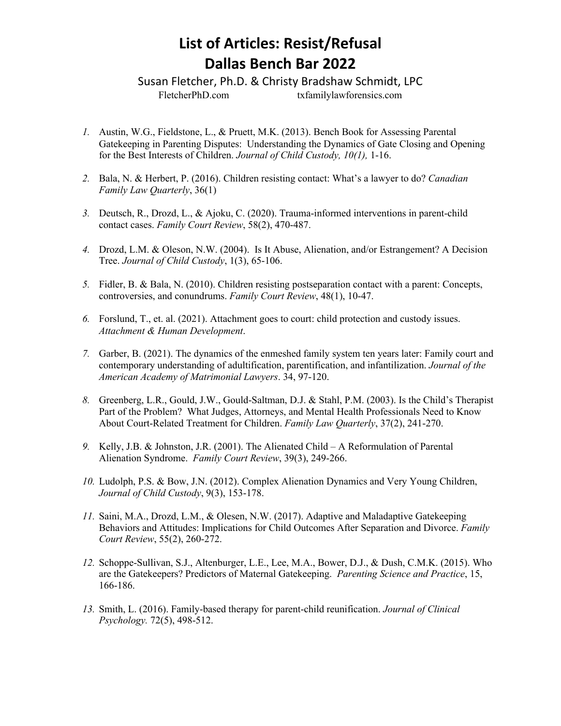## **List of Articles: Resist/Refusal Dallas Bench Bar 2022**

Susan Fletcher, Ph.D. & Christy Bradshaw Schmidt, LPC FletcherPhD.com txfamilylawforensics.com

- *1.* Austin, W.G., Fieldstone, L., & Pruett, M.K. (2013). Bench Book for Assessing Parental Gatekeeping in Parenting Disputes: Understanding the Dynamics of Gate Closing and Opening for the Best Interests of Children. *Journal of Child Custody, 10(1),* 1-16.
- *2.* Bala, N. & Herbert, P. (2016). Children resisting contact: What's a lawyer to do? *Canadian Family Law Quarterly*, 36(1)
- *3.* Deutsch, R., Drozd, L., & Ajoku, C. (2020). Trauma-informed interventions in parent-child contact cases. *Family Court Review*, 58(2), 470-487.
- *4.* Drozd, L.M. & Oleson, N.W. (2004). Is It Abuse, Alienation, and/or Estrangement? A Decision Tree. *Journal of Child Custody*, 1(3), 65-106.
- *5.* Fidler, B. & Bala, N. (2010). Children resisting postseparation contact with a parent: Concepts, controversies, and conundrums. *Family Court Review*, 48(1), 10-47.
- *6.* Forslund, T., et. al. (2021). Attachment goes to court: child protection and custody issues. *Attachment & Human Development*.
- *7.* Garber, B. (2021). The dynamics of the enmeshed family system ten years later: Family court and contemporary understanding of adultification, parentification, and infantilization. *Journal of the American Academy of Matrimonial Lawyers*. 34, 97-120.
- *8.* Greenberg, L.R., Gould, J.W., Gould-Saltman, D.J. & Stahl, P.M. (2003). Is the Child's Therapist Part of the Problem? What Judges, Attorneys, and Mental Health Professionals Need to Know About Court-Related Treatment for Children. *Family Law Quarterly*, 37(2), 241-270.
- *9.* Kelly, J.B. & Johnston, J.R. (2001). The Alienated Child A Reformulation of Parental Alienation Syndrome. *Family Court Review*, 39(3), 249-266.
- *10.* Ludolph, P.S. & Bow, J.N. (2012). Complex Alienation Dynamics and Very Young Children, *Journal of Child Custody*, 9(3), 153-178.
- *11.* Saini, M.A., Drozd, L.M., & Olesen, N.W. (2017). Adaptive and Maladaptive Gatekeeping Behaviors and Attitudes: Implications for Child Outcomes After Separation and Divorce. *Family Court Review*, 55(2), 260-272.
- *12.* Schoppe-Sullivan, S.J., Altenburger, L.E., Lee, M.A., Bower, D.J., & Dush, C.M.K. (2015). Who are the Gatekeepers? Predictors of Maternal Gatekeeping. *Parenting Science and Practice*, 15, 166-186.
- *13.* Smith, L. (2016). Family-based therapy for parent-child reunification. *Journal of Clinical Psychology.* 72(5), 498-512.